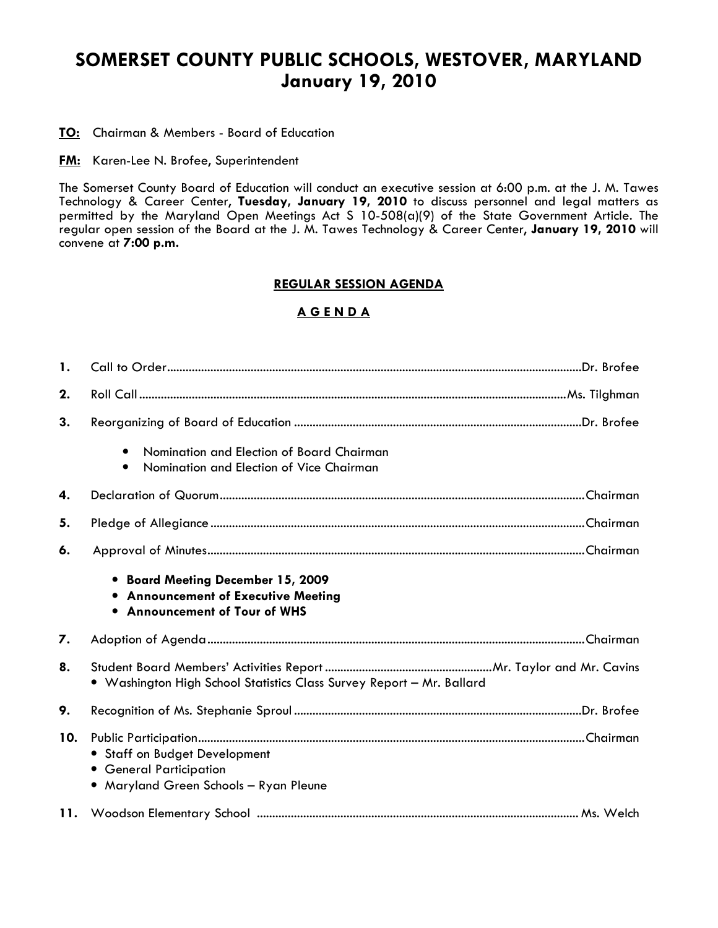# SOMERSET COUNTY PUBLIC SCHOOLS, WESTOVER, MARYLAND January 19, 2010

TO: Chairman & Members - Board of Education

**FM:** Karen-Lee N. Brofee, Superintendent

The Somerset County Board of Education will conduct an executive session at 6:00 p.m. at the J. M. Tawes Technology & Career Center, Tuesday, January 19, 2010 to discuss personnel and legal matters as permitted by the Maryland Open Meetings Act S 10-508(a)(9) of the State Government Article. The regular open session of the Board at the J. M. Tawes Technology & Career Center, January 19, 2010 will convene at 7:00 p.m.

## REGULAR SESSION AGENDA

# A G E N D A

| 1.  |                                                                                                           |
|-----|-----------------------------------------------------------------------------------------------------------|
| 2.  |                                                                                                           |
| 3.  |                                                                                                           |
|     | Nomination and Election of Board Chairman<br>$\bullet$<br>Nomination and Election of Vice Chairman        |
| 4.  |                                                                                                           |
| 5.  |                                                                                                           |
| 6.  |                                                                                                           |
|     | • Board Meeting December 15, 2009<br>• Announcement of Executive Meeting<br>• Announcement of Tour of WHS |
| 7.  |                                                                                                           |
| 8.  | • Washington High School Statistics Class Survey Report - Mr. Ballard                                     |
| 9.  |                                                                                                           |
| 10. | • Staff on Budget Development<br>• General Participation<br>• Maryland Green Schools - Ryan Pleune        |
|     |                                                                                                           |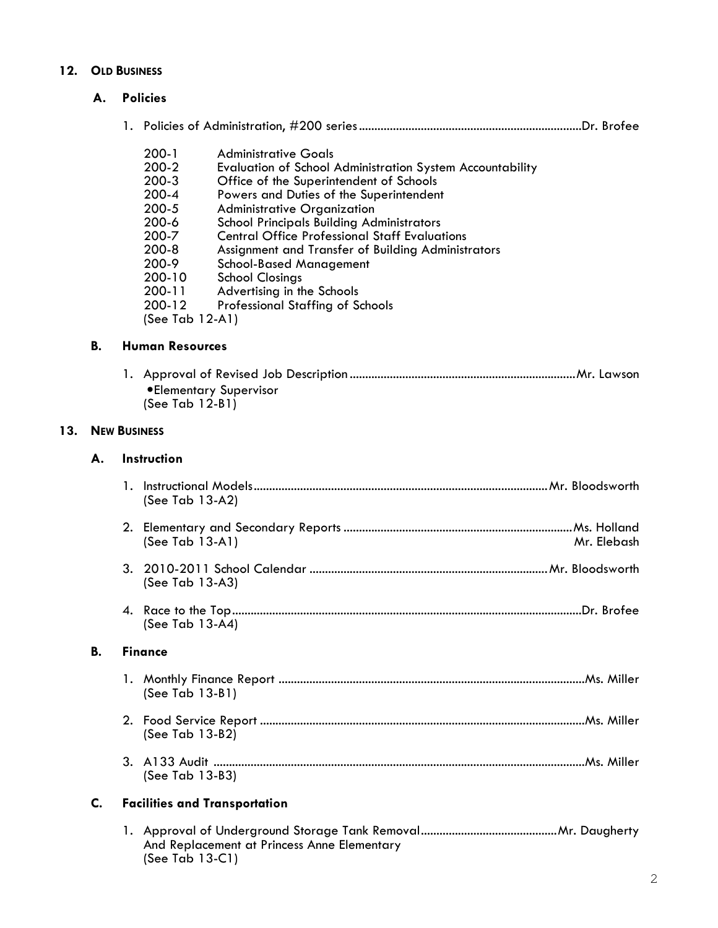# 12. OLD BUSINESS

## A. Policies

|--|--|--|--|--|--|

- 200-1 Administrative Goals<br>200-2 Evaluation of School
- 200-2 Evaluation of School Administration System Accountability<br>200-3 Office of the Superintendent of Schools
- 200-3 Office of the Superintendent of Schools<br>200-4 Powers and Duties of the Superintenden
- 200-4 Powers and Duties of the Superintendent<br>200-5 Administrative Organization
- 200-5 Administrative Organization
- 200-6 School Principals Building Administrators<br>200-7 Central Office Professional Staff Evaluat
- 200-7 Central Office Professional Staff Evaluations<br>200-8 Assignment and Transfer of Building Administr
- 200-8 Assignment and Transfer of Building Administrators
- 200-9 School-Based Management<br>200-10 School Closings
- 200-10 School Closings<br>200-11 Advertising in th
- 200-11 Advertising in the Schools<br>200-12 Professional Staffing of S
- Professional Staffing of Schools

(See Tab 12-A1)

#### B. Human Resources

 1. Approval of Revised Job Description .........................................................................Mr. Lawson •Elementary Supervisor (See Tab 12-B1)

#### 13. NEW BUSINESS

## A. Instruction

|           | (See Tab 13-A2)                                                |  |  |  |
|-----------|----------------------------------------------------------------|--|--|--|
|           | $(See Tab 13-A1)$<br>Mr. Elebash                               |  |  |  |
|           | (See Tab 13-A3)                                                |  |  |  |
|           | (See Tab 13-A4)                                                |  |  |  |
| <b>B.</b> | <b>Finance</b>                                                 |  |  |  |
|           | (See Tab 13-B1)                                                |  |  |  |
|           | (See Tab 13-B2)                                                |  |  |  |
|           | (See Tab 13-B3)                                                |  |  |  |
| C.        | <b>Facilities and Transportation</b>                           |  |  |  |
|           | And Replacement at Princess Anne Elementary<br>(See Tab 13-C1) |  |  |  |